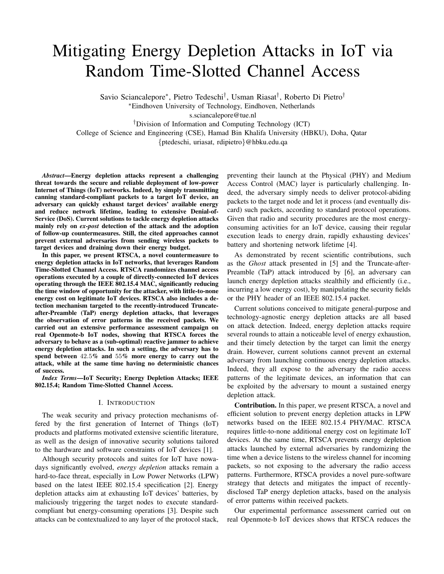# Mitigating Energy Depletion Attacks in IoT via Random Time-Slotted Channel Access

Savio Sciancalepore<sup>∗</sup> , Pietro Tedeschi† , Usman Riasat† , Roberto Di Pietro† <sup>∗</sup>Eindhoven University of Technology, Eindhoven, Netherlands

s.sciancalepore@tue.nl

†Division of Information and Computing Technology (ICT)

College of Science and Engineering (CSE), Hamad Bin Khalifa University (HBKU), Doha, Qatar

{ptedeschi, uriasat, rdipietro}@hbku.edu.qa

*Abstract*—Energy depletion attacks represent a challenging threat towards the secure and reliable deployment of low-power Internet of Things (IoT) networks. Indeed, by simply transmitting canning standard-compliant packets to a target IoT device, an adversary can quickly exhaust target devices' available energy and reduce network lifetime, leading to extensive Denial-of-Service (DoS). Current solutions to tackle energy depletion attacks mainly rely on *ex-post* detection of the attack and the adoption of follow-up countermeasures. Still, the cited approaches cannot prevent external adversaries from sending wireless packets to target devices and draining down their energy budget.

In this paper, we present RTSCA, a novel countermeasure to energy depletion attacks in IoT networks, that leverages Random Time-Slotted Channel Access. RTSCA randomizes channel access operations executed by a couple of directly-connected IoT devices operating through the IEEE 802.15.4 MAC, significantly reducing the time window of opportunity for the attacker, with little-to-none energy cost on legitimate IoT devices. RTSCA also includes a detection mechanism targeted to the recently-introduced Truncateafter-Preamble (TaP) energy depletion attacks, that leverages the observation of error patterns in the received packets. We carried out an extensive performance assessment campaign on real Openmote-b IoT nodes, showing that RTSCA forces the adversary to behave as a (sub-optimal) reactive jammer to achieve energy depletion attacks. In such a setting, the adversary has to spend between 42.5% and 55% more energy to carry out the attack, while at the same time having no deterministic chances of success.

*Index Terms*—IoT Security; Energy Depletion Attacks; IEEE 802.15.4; Random Time-Slotted Channel Access.

#### I. INTRODUCTION

The weak security and privacy protection mechanisms offered by the first generation of Internet of Things (IoT) products and platforms motivated extensive scientific literature, as well as the design of innovative security solutions tailored to the hardware and software constraints of IoT devices [1].

Although security protocols and suites for IoT have nowadays significantly evolved, *energy depletion* attacks remain a hard-to-face threat, especially in Low Power Networks (LPW) based on the latest IEEE 802.15.4 specification [2]. Energy depletion attacks aim at exhausting IoT devices' batteries, by maliciously triggering the target nodes to execute standardcompliant but energy-consuming operations [3]. Despite such attacks can be contextualized to any layer of the protocol stack, preventing their launch at the Physical (PHY) and Medium Access Control (MAC) layer is particularly challenging. Indeed, the adversary simply needs to deliver protocol-abiding packets to the target node and let it process (and eventually discard) such packets, according to standard protocol operations. Given that radio and security procedures are the most energyconsuming activities for an IoT device, causing their regular execution leads to energy drain, rapidly exhausting devices' battery and shortening network lifetime [4].

As demonstrated by recent scientific contributions, such as the *Ghost* attack presented in [5] and the Truncate-after-Preamble (TaP) attack introduced by [6], an adversary can launch energy depletion attacks stealthily and efficiently (i.e., incurring a low energy cost), by manipulating the security fields or the PHY header of an IEEE 802.15.4 packet.

Current solutions conceived to mitigate general-purpose and technology-agnostic energy depletion attacks are all based on attack detection. Indeed, energy depletion attacks require several rounds to attain a noticeable level of energy exhaustion, and their timely detection by the target can limit the energy drain. However, current solutions cannot prevent an external adversary from launching continuous energy depletion attacks. Indeed, they all expose to the adversary the radio access patterns of the legitimate devices, an information that can be exploited by the adversary to mount a sustained energy depletion attack.

Contribution. In this paper, we present RTSCA, a novel and efficient solution to prevent energy depletion attacks in LPW networks based on the IEEE 802.15.4 PHY/MAC. RTSCA requires little-to-none additional energy cost on legitimate IoT devices. At the same time, RTSCA prevents energy depletion attacks launched by external adversaries by randomizing the time when a device listens to the wireless channel for incoming packets, so not exposing to the adversary the radio access patterns. Furthermore, RTSCA provides a novel pure-software strategy that detects and mitigates the impact of recentlydisclosed TaP energy depletion attacks, based on the analysis of error patterns within received packets.

Our experimental performance assessment carried out on real Openmote-b IoT devices shows that RTSCA reduces the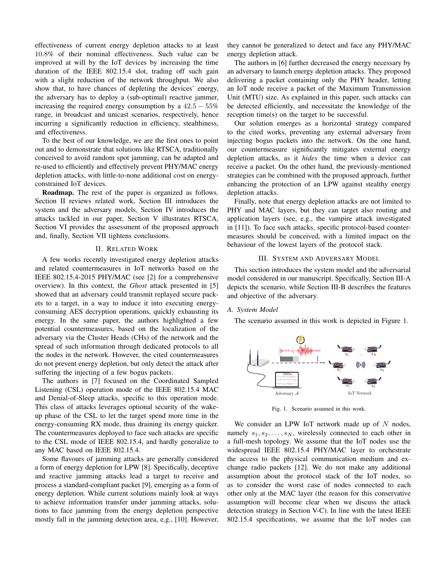effectiveness of current energy depletion attacks to at least 10.8% of their nominal effectiveness. Such value can be improved at will by the IoT devices by increasing the time duration of the IEEE 802.15.4 slot, trading off such gain with a slight reduction of the network throughput. We also show that, to have chances of depleting the devices' energy, the adversary has to deploy a (sub-optimal) reactive jammer, increasing the required energy consumption by a  $42.5 - 55\%$ range, in broadcast and unicast scenarios, respectively, hence incurring a significantly reduction in efficiency, stealthiness, and effectiveness.

To the best of our knowledge, we are the first ones to point out and to demonstrate that solutions like RTSCA, traditionally conceived to avoid random spot jamming, can be adapted and re-used to efficiently and effectively prevent PHY/MAC energy depletion attacks, with little-to-none additional cost on energyconstrained IoT devices.

Roadmap. The rest of the paper is organized as follows. Section II reviews related work, Section III introduces the system and the adversary models, Section IV introduces the attacks tackled in our paper, Section V illustrates RTSCA, Section VI provides the assessment of the proposed approach and, finally, Section VII tightens conclusions.

#### II. RELATED WORK

A few works recently investigated energy depletion attacks and related countermeasures in IoT networks based on the IEEE 802.15.4-2015 PHY/MAC (see [2] for a comprehensive overview). In this context, the *Ghost* attack presented in [5] showed that an adversary could transmit replayed secure packets to a target, in a way to induce it into executing energyconsuming AES decryption operations, quickly exhausting its energy. In the same paper, the authors highlighted a few potential countermeasures, based on the localization of the adversary via the Cluster Heads (CHs) of the network and the spread of such information through dedicated protocols to all the nodes in the network. However, the cited countermeasures do not prevent energy depletion, but only detect the attack after suffering the injecting of a few bogus packets.

The authors in [7] focused on the Coordinated Sampled Listening (CSL) operation mode of the IEEE 802.15.4 MAC and Denial-of-Sleep attacks, specific to this operation mode. This class of attacks leverages optional security of the wakeup phase of the CSL to let the target spend more time in the energy-consuming RX mode, thus draining its energy quicker. The countermeasures deployed to face such attacks are specific to the CSL mode of IEEE 802.15.4, and hardly generalize to any MAC based on IEEE 802.15.4.

Some flavours of jamming attacks are generally considered a form of energy depletion for LPW [8]. Specifically, deceptive and reactive jamming attacks lead a target to receive and process a standard-compliant packet [9], emerging as a form of energy depletion. While current solutions mainly look at ways to achieve information transfer under jamming attacks, solutions to face jamming from the energy depletion perspective mostly fall in the jamming detection area, e.g., [10]. However, they cannot be generalized to detect and face any PHY/MAC energy depletion attack.

The authors in [6] further decreased the energy necessary by an adversary to launch energy depletion attacks. They proposed delivering a packet containing only the PHY header, letting an IoT node receive a packet of the Maximum Transmission Unit (MTU) size. As explained in this paper, such attacks can be detected efficiently, and necessitate the knowledge of the reception time(s) on the target to be successful.

Our solution emerges as a horizontal strategy compared to the cited works, preventing any external adversary from injecting bogus packets into the network. On the one hand, our countermeasure significantly mitigates external energy depletion attacks, as it *hides* the time when a device can receive a packet. On the other hand, the previously-mentioned strategies can be combined with the proposed approach, further enhancing the protection of an LPW against stealthy energy depletion attacks.

Finally, note that energy depletion attacks are not limited to PHY and MAC layers, but they can target also routing and application layers (see, e.g., the vampire attack investigated in [11]). To face such attacks, specific protocol-based countermeasures should be conceived, with a limited impact on the behaviour of the lowest layers of the protocol stack.

#### III. SYSTEM AND ADVERSARY MODEL

This section introduces the system model and the adversarial model considered in our manuscript. Specifically, Section III-A depicts the scenario, while Section III-B describes the features and objective of the adversary.

## *A. System Model*

The scenario assumed in this work is depicted in Figure 1.



Fig. 1. Scenario assumed in this work.

We consider an LPW IoT network made up of  $N$  nodes, namely  $s_1, s_2, \ldots, s_N$ , wirelessly connected to each other in a full-mesh topology. We assume that the IoT nodes use the widespread IEEE 802.15.4 PHY/MAC layer to orchestrate the access to the physical communication medium and exchange radio packets [12]. We do not make any additional assumption about the protocol stack of the IoT nodes, so as to consider the worst case of nodes connected to each other only at the MAC layer (the reason for this conservative assumption will become clear when we discuss the attack detection strategy in Section V-C). In line with the latest IEEE 802.15.4 specifications, we assume that the IoT nodes can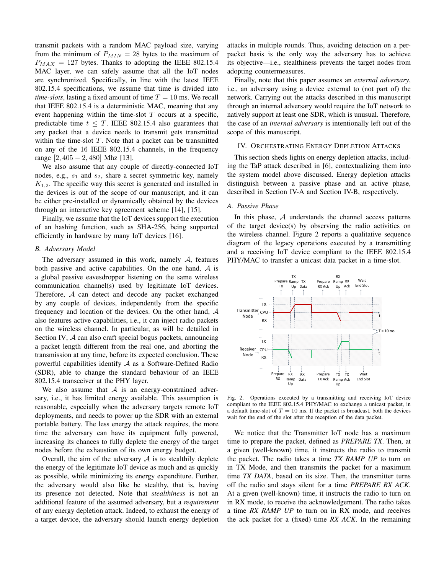transmit packets with a random MAC payload size, varying from the minimum of  $P_{MIN} = 28$  bytes to the maximum of  $P_{MAX}$  = 127 bytes. Thanks to adopting the IEEE 802.15.4 MAC layer, we can safely assume that all the IoT nodes are synchronized. Specifically, in line with the latest IEEE 802.15.4 specifications, we assume that time is divided into *time-slots*, lasting a fixed amount of time  $T = 10$  ms. We recall that IEEE 802.15.4 is a deterministic MAC, meaning that any event happening within the time-slot  $T$  occurs at a specific, predictable time  $t \leq T$ . IEEE 802.15.4 also guarantees that any packet that a device needs to transmit gets transmitted within the time-slot  $T$ . Note that a packet can be transmitted on any of the 16 IEEE 802.15.4 channels, in the frequency range [2, 405 − 2, 480] Mhz [13].

We also assume that any couple of directly-connected IoT nodes, e.g.,  $s_1$  and  $s_2$ , share a secret symmetric key, namely  $K_{1,2}$ . The specific way this secret is generated and installed in the devices is out of the scope of our manuscript, and it can be either pre-installed or dynamically obtained by the devices through an interactive key agreement scheme [14], [15].

Finally, we assume that the IoT devices support the execution of an hashing function, such as SHA-256, being supported efficiently in hardware by many IoT devices [16].

#### *B. Adversary Model*

The adversary assumed in this work, namely  $A$ , features both passive and active capabilities. On the one hand,  $A$  is a global passive eavesdropper listening on the same wireless communication channel(s) used by legitimate IoT devices. Therefore, A can detect and decode any packet exchanged by any couple of devices, independently from the specific frequency and location of the devices. On the other hand, A also features active capabilities, i.e., it can inject radio packets on the wireless channel. In particular, as will be detailed in Section IV, A can also craft special bogus packets, announcing a packet length different from the real one, and aborting the transmission at any time, before its expected conclusion. These powerful capabilities identify  $A$  as a Software-Defined Radio (SDR), able to change the standard behaviour of an IEEE 802.15.4 transceiver at the PHY layer.

We also assume that  $A$  is an energy-constrained adversary, i.e., it has limited energy available. This assumption is reasonable, especially when the adversary targets remote IoT deployments, and needs to power up the SDR with an external portable battery. The less energy the attack requires, the more time the adversary can have its equipment fully powered, increasing its chances to fully deplete the energy of the target nodes before the exhaustion of its own energy budget.

Overall, the aim of the adversary  $A$  is to stealthily deplete the energy of the legitimate IoT device as much and as quickly as possible, while minimizing its energy expenditure. Further, the adversary would also like be stealthy, that is, having its presence not detected. Note that *stealthiness* is not an additional feature of the assumed adversary, but a *requirement* of any energy depletion attack. Indeed, to exhaust the energy of a target device, the adversary should launch energy depletion attacks in multiple rounds. Thus, avoiding detection on a perpacket basis is the only way the adversary has to achieve its objective—i.e., stealthiness prevents the target nodes from adopting countermeasures.

Finally, note that this paper assumes an *external adversary*, i.e., an adversary using a device external to (not part of) the network. Carrying out the attacks described in this manuscript through an internal adversary would require the IoT network to natively support at least one SDR, which is unusual. Therefore, the case of an *internal adversary* is intentionally left out of the scope of this manuscript.

## IV. ORCHESTRATING ENERGY DEPLETION ATTACKS

This section sheds lights on energy depletion attacks, including the TaP attack described in [6], contextualizing them into the system model above discussed. Energy depletion attacks distinguish between a passive phase and an active phase, described in Section IV-A and Section IV-B, respectively.

#### *A. Passive Phase*

In this phase,  $A$  understands the channel access patterns of the target device(s) by observing the radio activities on the wireless channel. Figure 2 reports a qualitative sequence diagram of the legacy operations executed by a transmitting and a receiving IoT device compliant to the IEEE 802.15.4 PHY/MAC to transfer a unicast data packet in a time-slot.



Fig. 2. Operations executed by a transmitting and receiving IoT device compliant to the IEEE 802.15.4 PHY/MAC to exchange a unicast packet, in a default time-slot of  $T = 10$  ms. If the packet is broadcast, both the devices wait for the end of the slot after the reception of the data packet.

We notice that the Transmitter IoT node has a maximum time to prepare the packet, defined as *PREPARE TX*. Then, at a given (well-known) time, it instructs the radio to transmit the packet. The radio takes a time *TX RAMP UP* to turn on in TX Mode, and then transmits the packet for a maximum time *TX DATA*, based on its size. Then, the transmitter turns off the radio and stays silent for a time *PREPARE RX ACK*. At a given (well-known) time, it instructs the radio to turn on in RX mode, to receive the acknowledgement. The radio takes a time *RX RAMP UP* to turn on in RX mode, and receives the ack packet for a (fixed) time *RX ACK*. In the remaining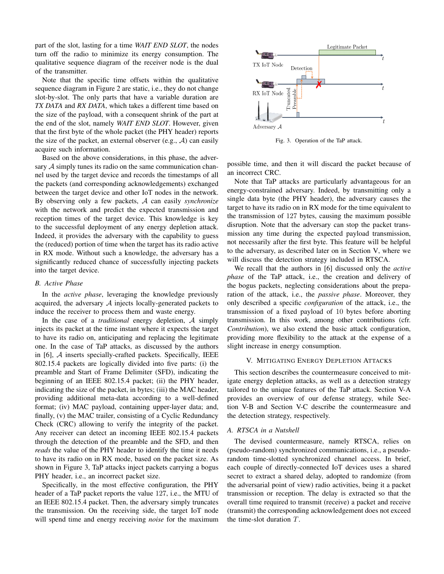part of the slot, lasting for a time *WAIT END SLOT*, the nodes turn off the radio to minimize its energy consumption. The qualitative sequence diagram of the receiver node is the dual of the transmitter.

Note that the specific time offsets within the qualitative sequence diagram in Figure 2 are static, i.e., they do not change slot-by-slot. The only parts that have a variable duration are *TX DATA* and *RX DATA*, which takes a different time based on the size of the payload, with a consequent shrink of the part at the end of the slot, namely *WAIT END SLOT*. However, given that the first byte of the whole packet (the PHY header) reports the size of the packet, an external observer (e.g.,  $A$ ) can easily acquire such information.

Based on the above considerations, in this phase, the adversary  $A$  simply tunes its radio on the same communication channel used by the target device and records the timestamps of all the packets (and corresponding acknowledgements) exchanged between the target device and other IoT nodes in the network. By observing only a few packets, A can easily *synchronize* with the network and predict the expected transmission and reception times of the target device. This knowledge is key to the successful deployment of any energy depletion attack. Indeed, it provides the adversary with the capability to guess the (reduced) portion of time when the target has its radio active in RX mode. Without such a knowledge, the adversary has a significantly reduced chance of successfully injecting packets into the target device.

## *B. Active Phase*

In the *active phase*, leveraging the knowledge previously acquired, the adversary  $A$  injects locally-generated packets to induce the receiver to process them and waste energy.

In the case of a *traditional* energy depletion, A simply injects its packet at the time instant where it expects the target to have its radio on, anticipating and replacing the legitimate one. In the case of TaP attacks, as discussed by the authors in  $[6]$ ,  $\mathcal A$  inserts specially-crafted packets. Specifically, IEEE 802.15.4 packets are logically divided into five parts: (i) the preamble and Start of Frame Delimiter (SFD), indicating the beginning of an IEEE 802.15.4 packet; (ii) the PHY header, indicating the size of the packet, in bytes; (iii) the MAC header, providing additional meta-data according to a well-defined format; (iv) MAC payload, containing upper-layer data; and, finally, (v) the MAC trailer, consisting of a Cyclic Redundancy Check (CRC) allowing to verify the integrity of the packet. Any receiver can detect an incoming IEEE 802.15.4 packets through the detection of the preamble and the SFD, and then *reads* the value of the PHY header to identify the time it needs to have its radio on in RX mode, based on the packet size. As shown in Figure 3, TaP attacks inject packets carrying a bogus PHY header, *i.e.*, an incorrect packet size.

Specifically, in the most effective configuration, the PHY header of a TaP packet reports the value 127, i.e., the MTU of an IEEE 802.15.4 packet. Then, the adversary simply truncates the transmission. On the receiving side, the target IoT node will spend time and energy receiving *noise* for the maximum



Fig. 3. Operation of the TaP attack.

possible time, and then it will discard the packet because of an incorrect CRC.

Note that TaP attacks are particularly advantageous for an energy-constrained adversary. Indeed, by transmitting only a single data byte (the PHY header), the adversary causes the target to have its radio on in RX mode for the time equivalent to the transmission of 127 bytes, causing the maximum possible disruption. Note that the adversary can stop the packet transmission any time during the expected payload transmission, not necessarily after the first byte. This feature will be helpful to the adversary, as described later on in Section V, where we will discuss the detection strategy included in RTSCA.

We recall that the authors in [6] discussed only the *active phase* of the TaP attack, i.e., the creation and delivery of the bogus packets, neglecting considerations about the preparation of the attack, i.e., the *passive phase*. Moreover, they only described a specific *configuration* of the attack, i.e., the transmission of a fixed payload of 10 bytes before aborting transmission. In this work, among other contributions (cfr. *Contribution*), we also extend the basic attack configuration, providing more flexibility to the attack at the expense of a slight increase in energy consumption.

## V. MITIGATING ENERGY DEPLETION ATTACKS

This section describes the countermeasure conceived to mitigate energy depletion attacks, as well as a detection strategy tailored to the unique features of the TaP attack. Section V-A provides an overview of our defense strategy, while Section V-B and Section V-C describe the countermeasure and the detection strategy, respectively.

#### *A. RTSCA in a Nutshell*

The devised countermeasure, namely RTSCA, relies on (pseudo-random) synchronized communications, i.e., a pseudorandom time-slotted synchronized channel access. In brief, each couple of directly-connected IoT devices uses a shared secret to extract a shared delay, adopted to randomize (from the adversarial point of view) radio activities, being it a packet transmission or reception. The delay is extracted so that the overall time required to transmit (receive) a packet and receive (transmit) the corresponding acknowledgement does not exceed the time-slot duration T.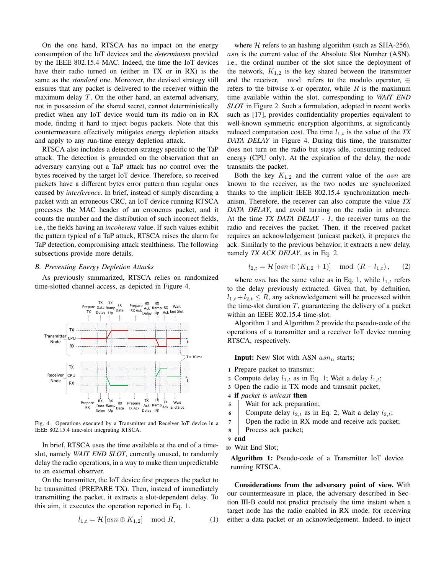On the one hand, RTSCA has no impact on the energy consumption of the IoT devices and the *determinism* provided by the IEEE 802.15.4 MAC. Indeed, the time the IoT devices have their radio turned on (either in TX or in RX) is the same as the *standard* one. Moreover, the devised strategy still ensures that any packet is delivered to the receiver within the maximum delay T. On the other hand, an external adversary, not in possession of the shared secret, cannot deterministically predict when any IoT device would turn its radio on in RX mode, finding it hard to inject bogus packets. Note that this countermeasure effectively mitigates energy depletion attacks and apply to any run-time energy depletion attack.

RTSCA also includes a detection strategy specific to the TaP attack. The detection is grounded on the observation that an adversary carrying out a TaP attack has no control over the bytes received by the target IoT device. Therefore, so received packets have a different bytes error pattern than regular ones caused by *interference*. In brief, instead of simply discarding a packet with an erroneous CRC, an IoT device running RTSCA processes the MAC header of an erroneous packet, and it counts the number and the distribution of such incorrect fields, i.e., the fields having an *incoherent* value. If such values exhibit the pattern typical of a TaP attack, RTSCA raises the alarm for TaP detection, compromising attack stealthiness. The following subsections provide more details.

#### *B. Preventing Energy Depletion Attacks*

As previously summarized, RTSCA relies on randomized time-slotted channel access, as depicted in Figure 4.



Fig. 4. Operations executed by a Transmitter and Receiver IoT device in a IEEE 802.15.4 time-slot integrating RTSCA.

In brief, RTSCA uses the time available at the end of a timeslot, namely *WAIT END SLOT*, currently unused, to randomly delay the radio operations, in a way to make them unpredictable to an external observer.

On the transmitter, the IoT device first prepares the packet to be transmitted (PREPARE TX). Then, instead of immediately transmitting the packet, it extracts a slot-dependent delay. To this aim, it executes the operation reported in Eq. 1.

$$
l_{1,t} = \mathcal{H}\left[asn \oplus K_{1,2}\right] \mod R,\tag{1}
$$

where  $H$  refers to an hashing algorithm (such as SHA-256), asn is the current value of the Absolute Slot Number (ASN), i.e., the ordinal number of the slot since the deployment of the network,  $K_{1,2}$  is the key shared between the transmitter and the receiver, mod refers to the modulo operator, ⊕ refers to the bitwise x-or operator, while  $R$  is the maximum time available within the slot, corresponding to *WAIT END SLOT* in Figure 2. Such a formulation, adopted in recent works such as [17], provides confidentiality properties equivalent to well-known symmetric encryption algorithms, at significantly reduced computation cost. The time  $l_{1,t}$  is the value of the *TX DATA DELAY* in Figure 4. During this time, the transmitter does not turn on the radio but stays idle, consuming reduced energy (CPU only). At the expiration of the delay, the node transmits the packet.

Both the key  $K_{1,2}$  and the current value of the *asn* are known to the receiver, as the two nodes are synchronized thanks to the implicit IEEE 802.15.4 synchronization mechanism. Therefore, the receiver can also compute the value *TX DATA DELAY*, and avoid turning on the radio in advance. At the time *TX DATA DELAY - 1*, the receiver turns on the radio and receives the packet. Then, if the received packet requires an acknowledgement (unicast packet), it prepares the ack. Similarly to the previous behavior, it extracts a new delay, namely *TX ACK DELAY*, as in Eq. 2.

$$
l_{2,t} = \mathcal{H}\left[asn \oplus (K_{1,2} + 1)\right] \mod (R - l_{1,t}), \quad (2)
$$

where asn has the same value as in Eq. 1, while  $l_{1,t}$  refers to the delay previously extracted. Given that, by definition,  $l_{1,t} + l_{2,t} \leq R$ , any acknowledgement will be processed within the time-slot duration  $T$ , guaranteeing the delivery of a packet within an IEEE 802.15.4 time-slot.

Algorithm 1 and Algorithm 2 provide the pseudo-code of the operations of a transmitter and a receiver IoT device running RTSCA, respectively.

**Input:** New Slot with ASN  $asn_n$  starts;

- <sup>1</sup> Prepare packet to transmit;
- 2 Compute delay  $l_{1,t}$  as in Eq. 1; Wait a delay  $l_{1,t}$ ;
- <sup>3</sup> Open the radio in TX mode and transmit packet;
- <sup>4</sup> if *packet is unicast* then
- <sup>5</sup> Wait for ack preparation;
- 6 Compute delay  $l_{2,t}$  as in Eq. 2; Wait a delay  $l_{2,t}$ ;
- <sup>7</sup> Open the radio in RX mode and receive ack packet;
- <sup>8</sup> Process ack packet;

<sup>10</sup> Wait End Slot;

Algorithm 1: Pseudo-code of a Transmitter IoT device running RTSCA.

Considerations from the adversary point of view. With our countermeasure in place, the adversary described in Section III-B could not predict precisely the time instant when a target node has the radio enabled in RX mode, for receiving either a data packet or an acknowledgement. Indeed, to inject

<sup>9</sup> end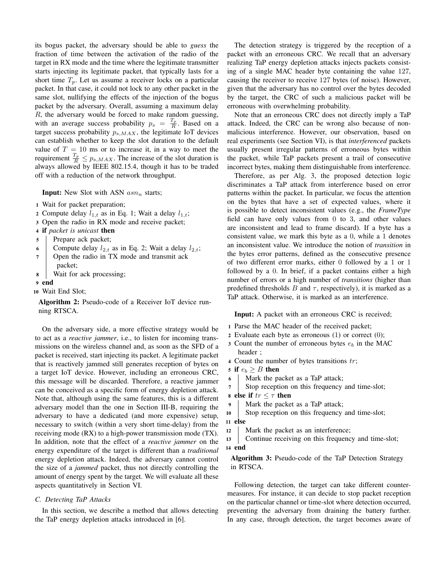its bogus packet, the adversary should be able to *guess* the fraction of time between the activation of the radio of the target in RX mode and the time where the legitimate transmitter starts injecting its legitimate packet, that typically lasts for a short time  $T_p$ . Let us assume a receiver locks on a particular packet. In that case, it could not lock to any other packet in the same slot, nullifying the effects of the injection of the bogus packet by the adversary. Overall, assuming a maximum delay  $R$ , the adversary would be forced to make random guessing, with an average success probability  $p_s = \frac{T_p}{R}$ . Based on a target success probability  $p_{s,MAX}$ , the legitimate IoT devices can establish whether to keep the slot duration to the default value of  $T = 10$  ms or to increase it, in a way to meet the requirement  $\frac{T_p}{R} \leq p_{s,MAX}$ . The increase of the slot duration is always allowed by IEEE 802.15.4, though it has to be traded off with a reduction of the network throughput.

**Input:** New Slot with ASN  $asn_n$  starts;

- <sup>1</sup> Wait for packet preparation;
- 2 Compute delay  $l_{1,t}$  as in Eq. 1; Wait a delay  $l_{1,t}$ ;
- <sup>3</sup> Open the radio in RX mode and receive packet;
- <sup>4</sup> if *packet is unicast* then
- <sup>5</sup> Prepare ack packet;
- 6 Compute delay  $l_{2,t}$  as in Eq. 2; Wait a delay  $l_{2,t}$ ;
- 7 | Open the radio in TX mode and transmit ack
- packet;
- <sup>8</sup> Wait for ack processing;

## 9 end

<sup>10</sup> Wait End Slot;

Algorithm 2: Pseudo-code of a Receiver IoT device running RTSCA.

On the adversary side, a more effective strategy would be to act as a *reactive jammer*, i.e., to listen for incoming transmissions on the wireless channel and, as soon as the SFD of a packet is received, start injecting its packet. A legitimate packet that is reactively jammed still generates reception of bytes on a target IoT device. However, including an erroneous CRC, this message will be discarded. Therefore, a reactive jammer can be conceived as a specific form of energy depletion attack. Note that, although using the same features, this is a different adversary model than the one in Section III-B, requiring the adversary to have a dedicated (and more expensive) setup, necessary to switch (within a very short time-delay) from the receiving mode (RX) to a high-power transmission mode (TX). In addition, note that the effect of a *reactive jammer* on the energy expenditure of the target is different than a *traditional* energy depletion attack. Indeed, the adversary cannot control the size of a *jammed* packet, thus not directly controlling the amount of energy spent by the target. We will evaluate all these aspects quantitatively in Section VI.

## *C. Detecting TaP Attacks*

In this section, we describe a method that allows detecting the TaP energy depletion attacks introduced in [6].

The detection strategy is triggered by the reception of a packet with an erroneous CRC. We recall that an adversary realizing TaP energy depletion attacks injects packets consisting of a single MAC header byte containing the value 127, causing the receiver to receive 127 bytes (of noise). However, given that the adversary has no control over the bytes decoded by the target, the CRC of such a malicious packet will be erroneous with overwhelming probability.

Note that an erroneous CRC does not directly imply a TaP attack. Indeed, the CRC can be wrong also because of nonmalicious interference. However, our observation, based on real experiments (see Section VI), is that *interferenced* packets usually present irregular patterns of erroneous bytes within the packet, while TaP packets present a trail of consecutive incorrect bytes, making them distinguishable from interference.

Therefore, as per Alg. 3, the proposed detection logic discriminates a TaP attack from interference based on error patterns within the packet. In particular, we focus the attention on the bytes that have a set of expected values, where it is possible to detect inconsistent values (e.g., the *FrameType* field can have only values from 0 to 3, and other values are inconsistent and lead to frame discard). If a byte has a consistent value, we mark this byte as a 0, while a 1 denotes an inconsistent value. We introduce the notion of *transition* in the bytes error patterns, defined as the consecutive presence of two different error marks, either 0 followed by a 1 or 1 followed by a 0. In brief, if a packet contains either a high number of errors or a high number of *transitions* (higher than predefined thresholds B and  $\tau$ , respectively), it is marked as a TaP attack. Otherwise, it is marked as an interference.

Input: A packet with an erroneous CRC is received;

- <sup>1</sup> Parse the MAC header of the received packet;
- 2 Evaluate each byte as erroneous  $(1)$  or correct  $(0)$ ;
- 3 Count the number of erroneous bytes  $e_b$  in the MAC header ;
- 4 Count the number of bytes transitions  $tr$ ;
- 5 if  $e_b \geq B$  then
- <sup>6</sup> Mark the packet as a TaP attack;
- <sup>7</sup> Stop reception on this frequency and time-slot;
- 8 else if  $tr < \tau$  then
- <sup>9</sup> Mark the packet as a TaP attack;
- 10 Stop reception on this frequency and time-slot; <sup>11</sup> else
- 12 Mark the packet as an interference;
- 13 Continue receiving on this frequency and time-slot; <sup>14</sup> end

Algorithm 3: Pseudo-code of the TaP Detection Strategy in RTSCA.

Following detection, the target can take different countermeasures. For instance, it can decide to stop packet reception on the particular channel or time-slot where detection occurred, preventing the adversary from draining the battery further. In any case, through detection, the target becomes aware of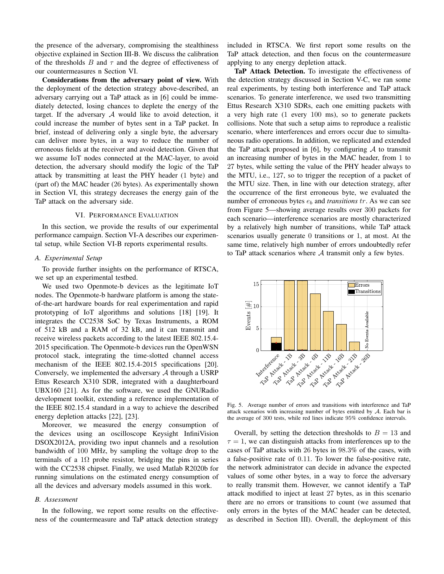the presence of the adversary, compromising the stealthiness objective explained in Section III-B. We discuss the calibration of the thresholds  $B$  and  $\tau$  and the degree of effectiveness of our countermeasures n Section VI.

Considerations from the adversary point of view. With the deployment of the detection strategy above-described, an adversary carrying out a TaP attack as in [6] could be immediately detected, losing chances to deplete the energy of the target. If the adversary  $A$  would like to avoid detection, it could increase the number of bytes sent in a TaP packet. In brief, instead of delivering only a single byte, the adversary can deliver more bytes, in a way to reduce the number of erroneous fields at the receiver and avoid detection. Given that we assume IoT nodes connected at the MAC-layer, to avoid detection, the adversary should modify the logic of the TaP attack by transmitting at least the PHY header (1 byte) and (part of) the MAC header (26 bytes). As experimentally shown in Section VI, this strategy decreases the energy gain of the TaP attack on the adversary side.

#### VI. PERFORMANCE EVALUATION

In this section, we provide the results of our experimental performance campaign. Section VI-A describes our experimental setup, while Section VI-B reports experimental results.

## *A. Experimental Setup*

To provide further insights on the performance of RTSCA, we set up an experimental testbed.

We used two Openmote-b devices as the legitimate IoT nodes. The Openmote-b hardware platform is among the stateof-the-art hardware boards for real experimentation and rapid prototyping of IoT algorithms and solutions [18] [19]. It integrates the CC2538 SoC by Texas Instruments, a ROM of 512 kB and a RAM of 32 kB, and it can transmit and receive wireless packets according to the latest IEEE 802.15.4- 2015 specification. The Openmote-b devices run the OpenWSN protocol stack, integrating the time-slotted channel access mechanism of the IEEE 802.15.4-2015 specifications [20]. Conversely, we implemented the adversary A through a USRP Ettus Research X310 SDR, integrated with a daughterboard UBX160 [21]. As for the software, we used the GNURadio development toolkit, extending a reference implementation of the IEEE 802.15.4 standard in a way to achieve the described energy depletion attacks [22], [23].

Moreover, we measured the energy consumption of the devices using an oscilloscope Keysight InfiniVision DSOX2012A, providing two input channels and a resolution bandwidth of 100 MHz, by sampling the voltage drop to the terminals of a 1 $\Omega$  probe resistor, bridging the pins in series with the CC2538 chipset. Finally, we used Matlab R2020b for running simulations on the estimated energy consumption of all the devices and adversary models assumed in this work.

#### *B. Assessment*

In the following, we report some results on the effectiveness of the countermeasure and TaP attack detection strategy

included in RTSCA. We first report some results on the TaP attack detection, and then focus on the countermeasure applying to any energy depletion attack.

TaP Attack Detection. To investigate the effectiveness of the detection strategy discussed in Section V-C, we ran some real experiments, by testing both interference and TaP attack scenarios. To generate interference, we used two transmitting Ettus Research X310 SDRs, each one emitting packets with a very high rate (1 every 100 ms), so to generate packets collisions. Note that such a setup aims to reproduce a realistic scenario, where interferences and errors occur due to simultaneous radio operations. In addition, we replicated and extended the TaP attack proposed in [6], by configuring  $A$  to transmit an increasing number of bytes in the MAC header, from 1 to 27 bytes, while setting the value of the PHY header always to the MTU, i.e., 127, so to trigger the reception of a packet of the MTU size. Then, in line with our detection strategy, after the occurrence of the first erroneous byte, we evaluated the number of erroneous bytes  $e<sub>b</sub>$  and *transitions*  $tr$ . As we can see from Figure 5—showing average results over 300 packets for each scenario—interference scenarios are mostly characterized by a relatively high number of transitions, while TaP attack scenarios usually generate 0 transitions or 1, at most. At the same time, relatively high number of errors undoubtedly refer to TaP attack scenarios where  $A$  transmit only a few bytes.



Fig. 5. Average number of errors and transitions with interference and TaP attack scenarios with increasing number of bytes emitted by  $A$ . Each bar is the average of 300 tests, while red lines indicate 95% confidence intervals.

Overall, by setting the detection thresholds to  $B = 13$  and  $\tau = 1$ , we can distinguish attacks from interferences up to the cases of TaP attacks with 26 bytes in 98.3% of the cases, with a false-positive rate of 0.11. To lower the false-positive rate, the network administrator can decide in advance the expected values of some other bytes, in a way to force the adversary to really transmit them. However, we cannot identify a TaP attack modified to inject at least 27 bytes, as in this scenario there are no errors or transitions to count (we assumed that only errors in the bytes of the MAC header can be detected, as described in Section III). Overall, the deployment of this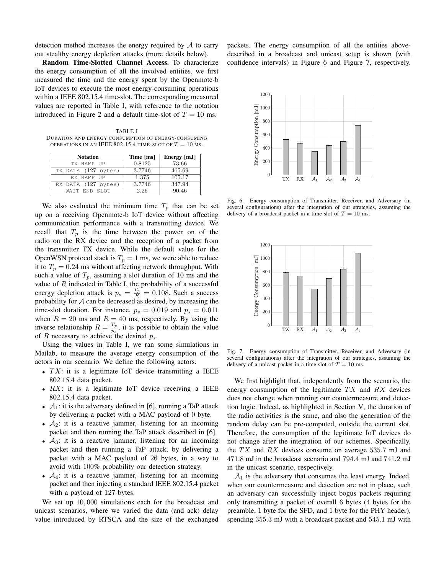detection method increases the energy required by A to carry out stealthy energy depletion attacks (more details below).

Random Time-Slotted Channel Access. To characterize the energy consumption of all the involved entities, we first measured the time and the energy spent by the Openmote-b IoT devices to execute the most energy-consuming operations within a IEEE 802.15.4 time-slot. The corresponding measured values are reported in Table I, with reference to the notation introduced in Figure 2 and a default time-slot of  $T = 10$  ms.

TABLE I DURATION AND ENERGY CONSUMPTION OF ENERGY-CONSUMING OPERATIONS IN AN IEEE 802.15.4 TIME-SLOT OF  $T = 10$  Ms.

| <b>Notation</b>     | Time [ms] | Energy [mJ] |
|---------------------|-----------|-------------|
| TX RAMP UP          | 0.8125    | 73.66       |
| TX DATA (127 bytes) | 3.7746    | 465.69      |
| RX RAMP UP          | 1.375     | 105.17      |
| RX DATA (127 bytes) | 3.7746    | 347.94      |
| WAIT END SLOT       | 2.26      | 90.46       |

We also evaluated the minimum time  $T_p$  that can be set up on a receiving Openmote-b IoT device without affecting communication performance with a transmitting device. We recall that  $T_p$  is the time between the power on of the radio on the RX device and the reception of a packet from the transmitter TX device. While the default value for the OpenWSN protocol stack is  $T_p = 1$  ms, we were able to reduce it to  $T_p = 0.24$  ms without affecting network throughput. With such a value of  $T_p$ , assuming a slot duration of 10 ms and the value of  $R$  indicated in Table I, the probability of a successful energy depletion attack is  $p_s = \frac{T_p}{R} = 0.108$ . Such a success probability for  $A$  can be decreased as desired, by increasing the time-slot duration. For instance,  $p_s = 0.019$  and  $p_s = 0.011$ when  $R = 20$  ms and  $R = 40$  ms, respectively. By using the inverse relationship  $R = \frac{T_p}{n}$  $\frac{I_p}{p_s}$ , it is possible to obtain the value of R necessary to achieve the desired  $p_s$ .

Using the values in Table I, we ran some simulations in Matlab, to measure the average energy consumption of the actors in our scenario. We define the following actors.

- $TX$ : it is a legitimate IoT device transmitting a IEEE 802.15.4 data packet.
- $RX$ : it is a legitimate IoT device receiving a IEEE 802.15.4 data packet.
- $A_1$ : it is the adversary defined in [6], running a TaP attack by delivering a packet with a MAC payload of 0 byte.
- $A_2$ : it is a reactive jammer, listening for an incoming packet and then running the TaP attack described in [6].
- $A_3$ : it is a reactive jammer, listening for an incoming packet and then running a TaP attack, by delivering a packet with a MAC payload of 26 bytes, in a way to avoid with 100% probability our detection strategy.
- $A_4$ : it is a reactive jammer, listening for an incoming packet and then injecting a standard IEEE 802.15.4 packet with a payload of 127 bytes.

We set up  $10,000$  simulations each for the broadcast and unicast scenarios, where we varied the data (and ack) delay value introduced by RTSCA and the size of the exchanged packets. The energy consumption of all the entities abovedescribed in a broadcast and unicast setup is shown (with confidence intervals) in Figure 6 and Figure 7, respectively.



Fig. 6. Energy consumption of Transmitter, Receiver, and Adversary (in several configurations) after the integration of our strategies, assuming the delivery of a broadcast packet in a time-slot of  $T = 10$  ms.



Fig. 7. Energy consumption of Transmitter, Receiver, and Adversary (in several configurations) after the integration of our strategies, assuming the delivery of a unicast packet in a time-slot of  $T = 10$  ms.

We first highlight that, independently from the scenario, the energy consumption of the legitimate  $TX$  and  $RX$  devices does not change when running our countermeasure and detection logic. Indeed, as highlighted in Section V, the duration of the radio activities is the same, and also the generation of the random delay can be pre-computed, outside the current slot. Therefore, the consumption of the legitimate IoT devices do not change after the integration of our schemes. Specifically, the  $TX$  and  $RX$  devices consume on average 535.7 mJ and 471.8 mJ in the broadcast scenario and 794.4 mJ and 741.2 mJ in the unicast scenario, respectively.

 $A_1$  is the adversary that consumes the least energy. Indeed, when our countermeasure and detection are not in place, such an adversary can successfully inject bogus packets requiring only transmitting a packet of overall 6 bytes (4 bytes for the preamble, 1 byte for the SFD, and 1 byte for the PHY header), spending 355.3 mJ with a broadcast packet and 545.1 mJ with